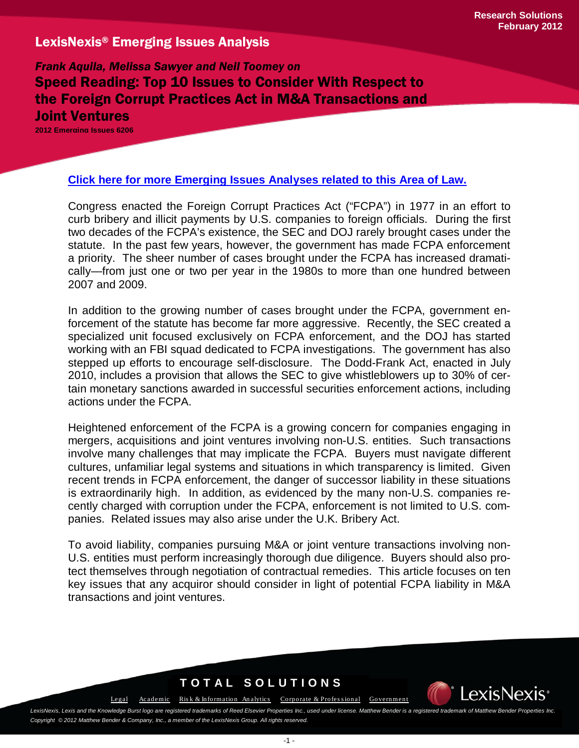*Frank Aquila, Melissa Sawyer and Neil Toomey on*  Speed Reading: Top 10 Issues to Consider With Respect to the Foreign Corrupt Practices Act in M&A Transactions and Joint Ventures

**2012 Emerging Issues 6206**

### **[Click here for more Emerging Issues Analyses related to this Area of Law.](http://www.lexis.com/research/xlink?&source=352100&searchtype=boolean&target=toc)**

Congress enacted the Foreign Corrupt Practices Act ("FCPA") in 1977 in an effort to curb bribery and illicit payments by U.S. companies to foreign officials. During the first two decades of the FCPA's existence, the SEC and DOJ rarely brought cases under the statute. In the past few years, however, the government has made FCPA enforcement a priority. The sheer number of cases brought under the FCPA has increased dramatically—from just one or two per year in the 1980s to more than one hundred between 2007 and 2009.

In addition to the growing number of cases brought under the FCPA, government enforcement of the statute has become far more aggressive. Recently, the SEC created a specialized unit focused exclusively on FCPA enforcement, and the DOJ has started working with an FBI squad dedicated to FCPA investigations. The government has also stepped up efforts to encourage self-disclosure. The Dodd-Frank Act, enacted in July 2010, includes a provision that allows the SEC to give whistleblowers up to 30% of certain monetary sanctions awarded in successful securities enforcement actions, including actions under the FCPA.

Heightened enforcement of the FCPA is a growing concern for companies engaging in mergers, acquisitions and joint ventures involving non-U.S. entities. Such transactions involve many challenges that may implicate the FCPA. Buyers must navigate different cultures, unfamiliar legal systems and situations in which transparency is limited. Given recent trends in FCPA enforcement, the danger of successor liability in these situations is extraordinarily high. In addition, as evidenced by the many non-U.S. companies recently charged with corruption under the FCPA, enforcement is not limited to U.S. companies. Related issues may also arise under the U.K. Bribery Act.

To avoid liability, companies pursuing M&A or joint venture transactions involving non-U.S. entities must perform increasingly thorough due diligence. Buyers should also protect themselves through negotiation of contractual remedies. This article focuses on ten key issues that any acquiror should consider in light of potential FCPA liability in M&A transactions and joint ventures.

## **TOTAL SOLUTIONS**



[Legal](http://law.lexisnexis.com/) [Academic](http://www.lexisnexis.com/academic/) Risk & Information Analytics Corporate & Professional [Government](http://www.lexisnexis.com/gov/)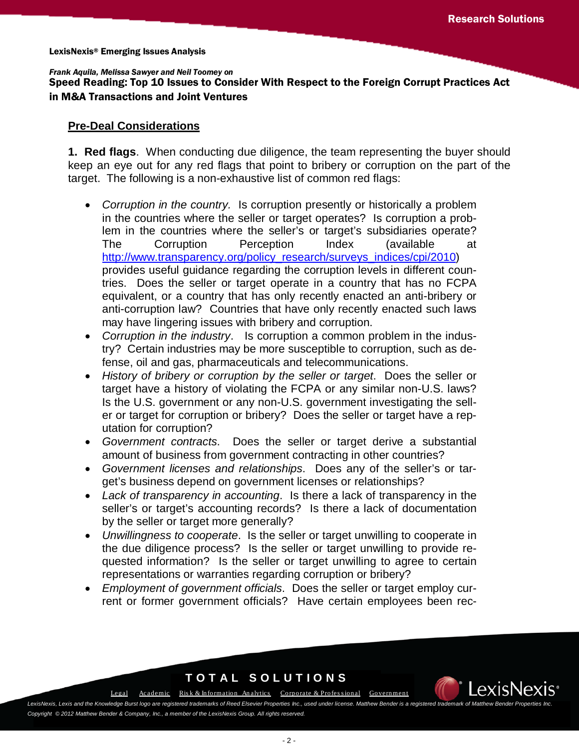Speed Reading: Top 10 Issues to Consider With Respect to the Foreign Corrupt Practices Act in M&A Transactions and Joint Ventures

### **Pre-Deal Considerations**

**1. Red flags**. When conducting due diligence, the team representing the buyer should keep an eye out for any red flags that point to bribery or corruption on the part of the target. The following is a non-exhaustive list of common red flags:

- *Corruption in the country.* Is corruption presently or historically a problem in the countries where the seller or target operates? Is corruption a problem in the countries where the seller's or target's subsidiaries operate? The Corruption Perception Index (available at [http://www.transparency.org/policy\\_research/surveys\\_indices/cpi/2010\)](http://www.transparency.org/policy_research/surveys_indices/cpi/2010) provides useful guidance regarding the corruption levels in different countries. Does the seller or target operate in a country that has no FCPA equivalent, or a country that has only recently enacted an anti-bribery or anti-corruption law? Countries that have only recently enacted such laws may have lingering issues with bribery and corruption.
- *Corruption in the industry*. Is corruption a common problem in the industry? Certain industries may be more susceptible to corruption, such as defense, oil and gas, pharmaceuticals and telecommunications.
- *History of bribery or corruption by the seller or target*.Does the seller or target have a history of violating the FCPA or any similar non-U.S. laws? Is the U.S. government or any non-U.S. government investigating the seller or target for corruption or bribery? Does the seller or target have a reputation for corruption?
- *Government contracts*. Does the seller or target derive a substantial amount of business from government contracting in other countries?
- *Government licenses and relationships*. Does any of the seller's or target's business depend on government licenses or relationships?
- *Lack of transparency in accounting*. Is there a lack of transparency in the seller's or target's accounting records? Is there a lack of documentation by the seller or target more generally?
- *Unwillingness to cooperate*. Is the seller or target unwilling to cooperate in the due diligence process? Is the seller or target unwilling to provide requested information? Is the seller or target unwilling to agree to certain representations or warranties regarding corruption or bribery?
- *Employment of government officials*. Does the seller or target employ current or former government officials? Have certain employees been rec-

## **TOTAL SOLUTIONS**

[Legal](http://law.lexisnexis.com/) [Academic](http://www.lexisnexis.com/academic/) Risk & Information Analytics Corporate & Professional [Government](http://www.lexisnexis.com/gov/)

exisNe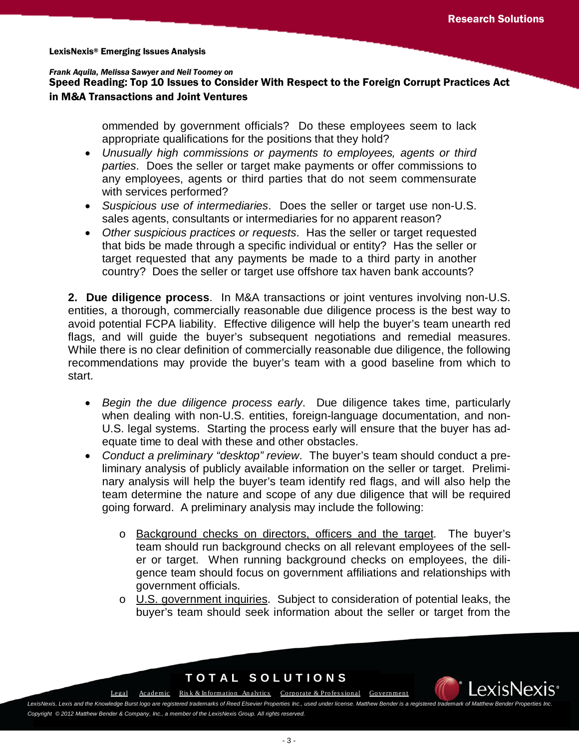Speed Reading: Top 10 Issues to Consider With Respect to the Foreign Corrupt Practices Act in M&A Transactions and Joint Ventures

> ommended by government officials? Do these employees seem to lack appropriate qualifications for the positions that they hold?

- *Unusually high commissions or payments to employees, agents or third parties*. Does the seller or target make payments or offer commissions to any employees, agents or third parties that do not seem commensurate with services performed?
- *Suspicious use of intermediaries*. Does the seller or target use non-U.S. sales agents, consultants or intermediaries for no apparent reason?
- *Other suspicious practices or requests*. Has the seller or target requested that bids be made through a specific individual or entity? Has the seller or target requested that any payments be made to a third party in another country? Does the seller or target use offshore tax haven bank accounts?

**2. Due diligence process**. In M&A transactions or joint ventures involving non-U.S. entities, a thorough, commercially reasonable due diligence process is the best way to avoid potential FCPA liability. Effective diligence will help the buyer's team unearth red flags, and will guide the buyer's subsequent negotiations and remedial measures. While there is no clear definition of commercially reasonable due diligence, the following recommendations may provide the buyer's team with a good baseline from which to start.

- *Begin the due diligence process early*. Due diligence takes time, particularly when dealing with non-U.S. entities, foreign-language documentation, and non-U.S. legal systems. Starting the process early will ensure that the buyer has adequate time to deal with these and other obstacles.
- *Conduct a preliminary "desktop" review*. The buyer's team should conduct a preliminary analysis of publicly available information on the seller or target. Preliminary analysis will help the buyer's team identify red flags, and will also help the team determine the nature and scope of any due diligence that will be required going forward. A preliminary analysis may include the following:
	- o Background checks on directors, officers and the target. The buyer's team should run background checks on all relevant employees of the seller or target. When running background checks on employees, the diligence team should focus on government affiliations and relationships with government officials.
	- o U.S. government inquiries. Subject to consideration of potential leaks, the buyer's team should seek information about the seller or target from the

## **TOTAL SOLUTIONS**

[Legal](http://law.lexisnexis.com/)[Academic](http://www.lexisnexis.com/academic/) [Ris k & Information An alytics](http://risk.lexisnexis.com/) [Corporate & Profes s ional](http://www.lexisnexis.com/corporate/) [Government](http://www.lexisnexis.com/gov/)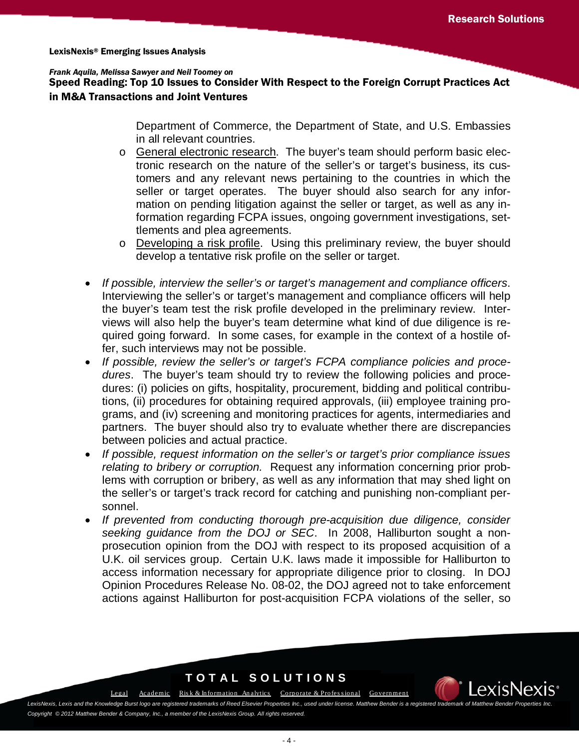### Speed Reading: Top 10 Issues to Consider With Respect to the Foreign Corrupt Practices Act in M&A Transactions and Joint Ventures

Department of Commerce, the Department of State, and U.S. Embassies in all relevant countries.

- o General electronic research. The buyer's team should perform basic electronic research on the nature of the seller's or target's business, its customers and any relevant news pertaining to the countries in which the seller or target operates. The buyer should also search for any information on pending litigation against the seller or target, as well as any information regarding FCPA issues, ongoing government investigations, settlements and plea agreements.
- o Developing a risk profile. Using this preliminary review, the buyer should develop a tentative risk profile on the seller or target.
- *If possible, interview the seller's or target's management and compliance officers*. Interviewing the seller's or target's management and compliance officers will help the buyer's team test the risk profile developed in the preliminary review. Interviews will also help the buyer's team determine what kind of due diligence is required going forward. In some cases, for example in the context of a hostile offer, such interviews may not be possible.
- *If possible, review the seller's or target's FCPA compliance policies and procedures*. The buyer's team should try to review the following policies and procedures: (i) policies on gifts, hospitality, procurement, bidding and political contributions, (ii) procedures for obtaining required approvals, (iii) employee training programs, and (iv) screening and monitoring practices for agents, intermediaries and partners. The buyer should also try to evaluate whether there are discrepancies between policies and actual practice.
- *If possible, request information on the seller's or target's prior compliance issues relating to bribery or corruption.* Request any information concerning prior problems with corruption or bribery, as well as any information that may shed light on the seller's or target's track record for catching and punishing non-compliant personnel.
- *If prevented from conducting thorough pre-acquisition due diligence, consider seeking guidance from the DOJ or SEC*. In 2008, Halliburton sought a nonprosecution opinion from the DOJ with respect to its proposed acquisition of a U.K. oil services group. Certain U.K. laws made it impossible for Halliburton to access information necessary for appropriate diligence prior to closing. In DOJ Opinion Procedures Release No. 08-02, the DOJ agreed not to take enforcement actions against Halliburton for post-acquisition FCPA violations of the seller, so

## **TOTAL SOLUTIONS**

[Legal](http://law.lexisnexis.com/) [Academic](http://www.lexisnexis.com/academic/) Risk & Information Analytics Corporate & Professional [Government](http://www.lexisnexis.com/gov/)

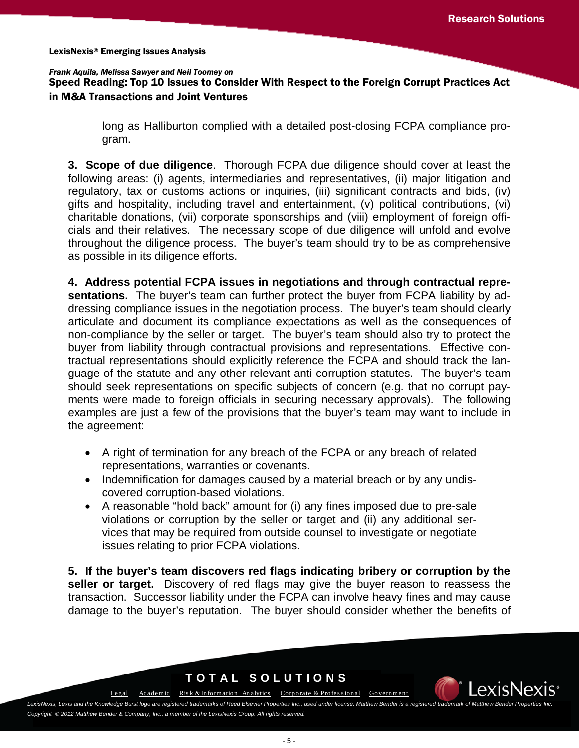Speed Reading: Top 10 Issues to Consider With Respect to the Foreign Corrupt Practices Act in M&A Transactions and Joint Ventures

> long as Halliburton complied with a detailed post-closing FCPA compliance program.

**3. Scope of due diligence**. Thorough FCPA due diligence should cover at least the following areas: (i) agents, intermediaries and representatives, (ii) major litigation and regulatory, tax or customs actions or inquiries, (iii) significant contracts and bids, (iv) gifts and hospitality, including travel and entertainment, (v) political contributions, (vi) charitable donations, (vii) corporate sponsorships and (viii) employment of foreign officials and their relatives. The necessary scope of due diligence will unfold and evolve throughout the diligence process. The buyer's team should try to be as comprehensive as possible in its diligence efforts.

**4. Address potential FCPA issues in negotiations and through contractual representations.** The buyer's team can further protect the buyer from FCPA liability by addressing compliance issues in the negotiation process. The buyer's team should clearly articulate and document its compliance expectations as well as the consequences of non-compliance by the seller or target. The buyer's team should also try to protect the buyer from liability through contractual provisions and representations. Effective contractual representations should explicitly reference the FCPA and should track the language of the statute and any other relevant anti-corruption statutes. The buyer's team should seek representations on specific subjects of concern (e.g. that no corrupt payments were made to foreign officials in securing necessary approvals). The following examples are just a few of the provisions that the buyer's team may want to include in the agreement:

- A right of termination for any breach of the FCPA or any breach of related representations, warranties or covenants.
- Indemnification for damages caused by a material breach or by any undiscovered corruption-based violations.
- A reasonable "hold back" amount for (i) any fines imposed due to pre-sale violations or corruption by the seller or target and (ii) any additional services that may be required from outside counsel to investigate or negotiate issues relating to prior FCPA violations.

**5. If the buyer's team discovers red flags indicating bribery or corruption by the seller or target.** Discovery of red flags may give the buyer reason to reassess the transaction. Successor liability under the FCPA can involve heavy fines and may cause damage to the buyer's reputation. The buyer should consider whether the benefits of

## **TOTAL SOLUTIONS**

[Legal](http://law.lexisnexis.com/)[Academic](http://www.lexisnexis.com/academic/) [Ris k & Information An alytics](http://risk.lexisnexis.com/) [Corporate & Profes s ional](http://www.lexisnexis.com/corporate/) [Government](http://www.lexisnexis.com/gov/)

exisNe: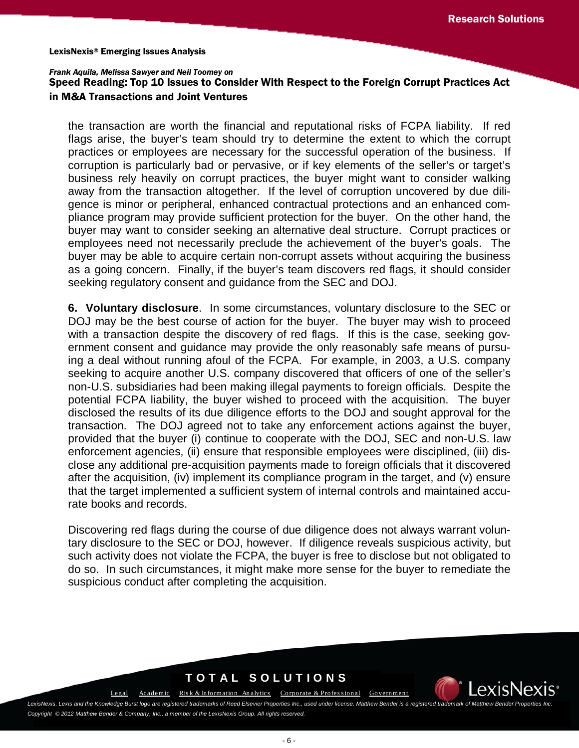#### *Frank Aquila, Melissa Sawyer and Neil Toomey on*

## Speed Reading: Top 10 Issues to Consider With Respect to the Foreign Corrupt Practices Act in M&A Transactions and Joint Ventures

the transaction are worth the financial and reputational risks of FCPA liability. If red flags arise, the buyer's team should try to determine the extent to which the corrupt practices or employees are necessary for the successful operation of the business. If corruption is particularly bad or pervasive, or if key elements of the seller's or target's business rely heavily on corrupt practices, the buyer might want to consider walking away from the transaction altogether. If the level of corruption uncovered by due diligence is minor or peripheral, enhanced contractual protections and an enhanced compliance program may provide sufficient protection for the buyer. On the other hand, the buyer may want to consider seeking an alternative deal structure. Corrupt practices or employees need not necessarily preclude the achievement of the buyer's goals. The buyer may be able to acquire certain non-corrupt assets without acquiring the business as a going concern. Finally, if the buyer's team discovers red flags, it should consider seeking regulatory consent and guidance from the SEC and DOJ.

**6. Voluntary disclosure**. In some circumstances, voluntary disclosure to the SEC or DOJ may be the best course of action for the buyer. The buyer may wish to proceed with a transaction despite the discovery of red flags. If this is the case, seeking government consent and guidance may provide the only reasonably safe means of pursuing a deal without running afoul of the FCPA. For example, in 2003, a U.S. company seeking to acquire another U.S. company discovered that officers of one of the seller's non-U.S. subsidiaries had been making illegal payments to foreign officials. Despite the potential FCPA liability, the buyer wished to proceed with the acquisition. The buyer disclosed the results of its due diligence efforts to the DOJ and sought approval for the transaction. The DOJ agreed not to take any enforcement actions against the buyer, provided that the buyer (i) continue to cooperate with the DOJ, SEC and non-U.S. law enforcement agencies, (ii) ensure that responsible employees were disciplined, (iii) disclose any additional pre-acquisition payments made to foreign officials that it discovered after the acquisition, (iv) implement its compliance program in the target, and (v) ensure that the target implemented a sufficient system of internal controls and maintained accurate books and records.

Discovering red flags during the course of due diligence does not always warrant voluntary disclosure to the SEC or DOJ, however. If diligence reveals suspicious activity, but such activity does not violate the FCPA, the buyer is free to disclose but not obligated to do so. In such circumstances, it might make more sense for the buyer to remediate the suspicious conduct after completing the acquisition.

## **TOTAL SOLUTIONS**

[Legal](http://law.lexisnexis.com/) [Academic](http://www.lexisnexis.com/academic/) Risk & Information Analytics Corporate & Professional [Government](http://www.lexisnexis.com/gov/)

exisNe:

LexisNexis, Lexis and the Knowledge Burst logo are registered trademarks of Reed Elsevier Properties Inc., used under license. Matthew Bender is a registered trademark of Matthew Bender is a registered trademark of Matthew *Copyright © 2012 Matthew Bender & Company, Inc., a member of the LexisNexis Group. All rights reserved.*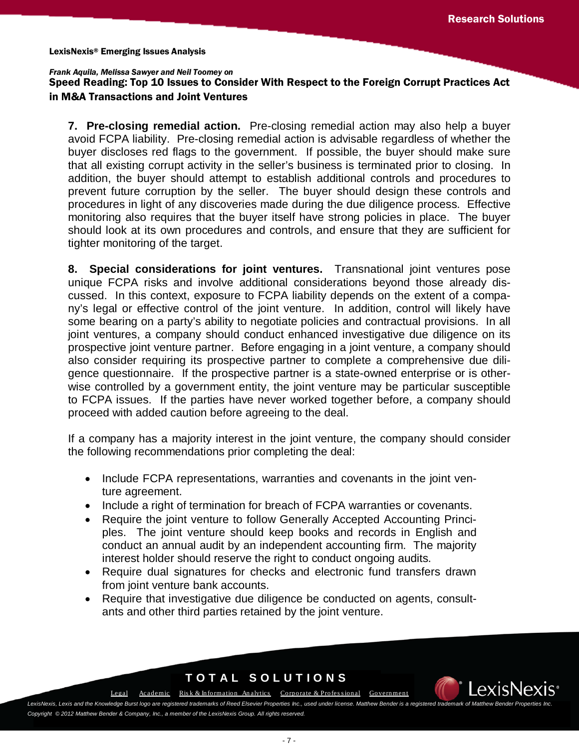### *Frank Aquila, Melissa Sawyer and Neil Toomey on*

Speed Reading: Top 10 Issues to Consider With Respect to the Foreign Corrupt Practices Act in M&A Transactions and Joint Ventures

**7. Pre-closing remedial action.** Pre-closing remedial action may also help a buyer avoid FCPA liability. Pre-closing remedial action is advisable regardless of whether the buyer discloses red flags to the government. If possible, the buyer should make sure that all existing corrupt activity in the seller's business is terminated prior to closing. In addition, the buyer should attempt to establish additional controls and procedures to prevent future corruption by the seller. The buyer should design these controls and procedures in light of any discoveries made during the due diligence process. Effective monitoring also requires that the buyer itself have strong policies in place. The buyer should look at its own procedures and controls, and ensure that they are sufficient for tighter monitoring of the target.

**8. Special considerations for joint ventures.** Transnational joint ventures pose unique FCPA risks and involve additional considerations beyond those already discussed. In this context, exposure to FCPA liability depends on the extent of a company's legal or effective control of the joint venture. In addition, control will likely have some bearing on a party's ability to negotiate policies and contractual provisions. In all joint ventures, a company should conduct enhanced investigative due diligence on its prospective joint venture partner. Before engaging in a joint venture, a company should also consider requiring its prospective partner to complete a comprehensive due diligence questionnaire. If the prospective partner is a state-owned enterprise or is otherwise controlled by a government entity, the joint venture may be particular susceptible to FCPA issues. If the parties have never worked together before, a company should proceed with added caution before agreeing to the deal.

If a company has a majority interest in the joint venture, the company should consider the following recommendations prior completing the deal:

- Include FCPA representations, warranties and covenants in the joint venture agreement.
- Include a right of termination for breach of FCPA warranties or covenants.
- Require the joint venture to follow Generally Accepted Accounting Principles. The joint venture should keep books and records in English and conduct an annual audit by an independent accounting firm. The majority interest holder should reserve the right to conduct ongoing audits.
- Require dual signatures for checks and electronic fund transfers drawn from joint venture bank accounts.
- Require that investigative due diligence be conducted on agents, consultants and other third parties retained by the joint venture.

## **TOTAL SOLUTIONS**

[Legal](http://law.lexisnexis.com/) [Academic](http://www.lexisnexis.com/academic/) Risk & Information Analytics Corporate & Professional [Government](http://www.lexisnexis.com/gov/)

.exisNe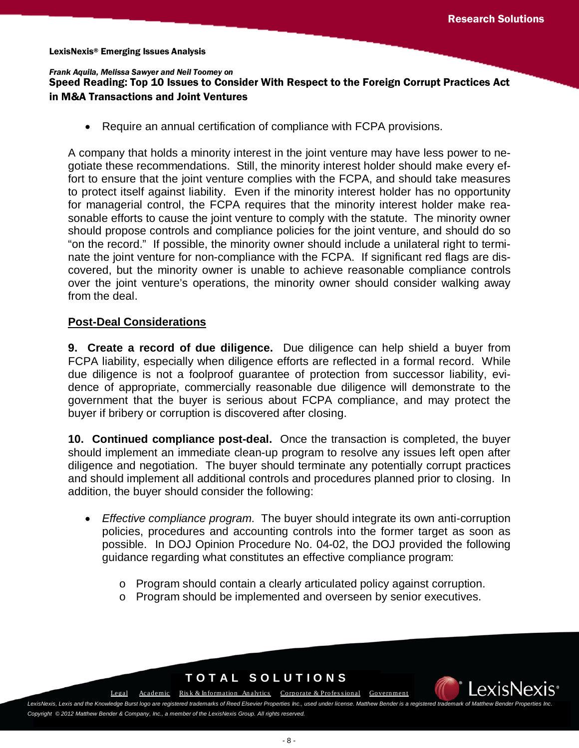### *Frank Aquila, Melissa Sawyer and Neil Toomey on*

## Speed Reading: Top 10 Issues to Consider With Respect to the Foreign Corrupt Practices Act in M&A Transactions and Joint Ventures

• Require an annual certification of compliance with FCPA provisions.

A company that holds a minority interest in the joint venture may have less power to negotiate these recommendations. Still, the minority interest holder should make every effort to ensure that the joint venture complies with the FCPA, and should take measures to protect itself against liability. Even if the minority interest holder has no opportunity for managerial control, the FCPA requires that the minority interest holder make reasonable efforts to cause the joint venture to comply with the statute. The minority owner should propose controls and compliance policies for the joint venture, and should do so "on the record." If possible, the minority owner should include a unilateral right to terminate the joint venture for non-compliance with the FCPA. If significant red flags are discovered, but the minority owner is unable to achieve reasonable compliance controls over the joint venture's operations, the minority owner should consider walking away from the deal.

### **Post-Deal Considerations**

**9. Create a record of due diligence.** Due diligence can help shield a buyer from FCPA liability, especially when diligence efforts are reflected in a formal record. While due diligence is not a foolproof guarantee of protection from successor liability, evidence of appropriate, commercially reasonable due diligence will demonstrate to the government that the buyer is serious about FCPA compliance, and may protect the buyer if bribery or corruption is discovered after closing.

**10. Continued compliance post-deal.** Once the transaction is completed, the buyer should implement an immediate clean-up program to resolve any issues left open after diligence and negotiation. The buyer should terminate any potentially corrupt practices and should implement all additional controls and procedures planned prior to closing. In addition, the buyer should consider the following:

- *Effective compliance program.* The buyer should integrate its own anti-corruption policies, procedures and accounting controls into the former target as soon as possible. In DOJ Opinion Procedure No. 04-02, the DOJ provided the following guidance regarding what constitutes an effective compliance program:
	- o Program should contain a clearly articulated policy against corruption.
	- o Program should be implemented and overseen by senior executives.

# **TOTAL SOLUTIONS**

[Legal](http://law.lexisnexis.com/) [Academic](http://www.lexisnexis.com/academic/) Risk & Information Analytics Corporate & Professional [Government](http://www.lexisnexis.com/gov/)

LexisNexis, Lexis and the Knowledge Burst logo are registered trademarks of Reed Elsevier Properties Inc., used under license. Matthew Bender is a registered tra

*Copyright © 2012 Matthew Bender & Company, Inc., a member of the LexisNexis Group. All rights reserved.*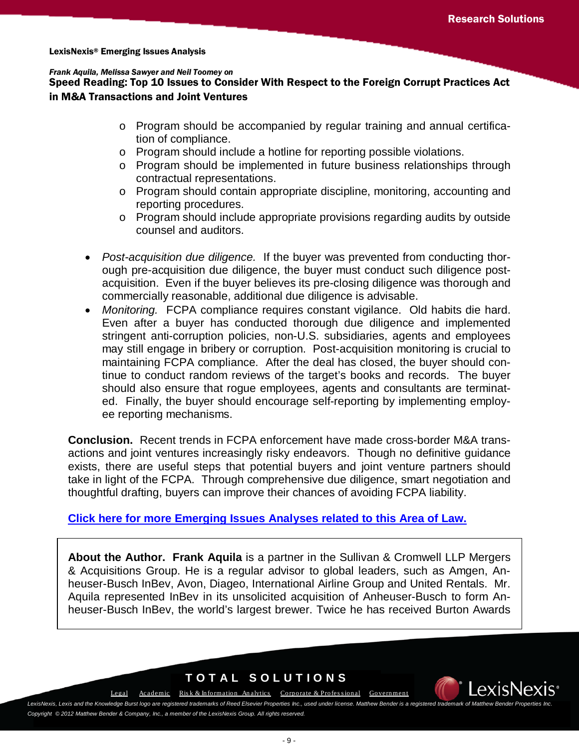Speed Reading: Top 10 Issues to Consider With Respect to the Foreign Corrupt Practices Act in M&A Transactions and Joint Ventures

- o Program should be accompanied by regular training and annual certification of compliance.
- o Program should include a hotline for reporting possible violations.
- o Program should be implemented in future business relationships through contractual representations.
- o Program should contain appropriate discipline, monitoring, accounting and reporting procedures.
- o Program should include appropriate provisions regarding audits by outside counsel and auditors.
- *Post-acquisition due diligence.* If the buyer was prevented from conducting thorough pre-acquisition due diligence, the buyer must conduct such diligence postacquisition. Even if the buyer believes its pre-closing diligence was thorough and commercially reasonable, additional due diligence is advisable.
- *Monitoring.* FCPA compliance requires constant vigilance. Old habits die hard. Even after a buyer has conducted thorough due diligence and implemented stringent anti-corruption policies, non-U.S. subsidiaries, agents and employees may still engage in bribery or corruption. Post-acquisition monitoring is crucial to maintaining FCPA compliance. After the deal has closed, the buyer should continue to conduct random reviews of the target's books and records. The buyer should also ensure that rogue employees, agents and consultants are terminated. Finally, the buyer should encourage self-reporting by implementing employee reporting mechanisms.

**Conclusion.** Recent trends in FCPA enforcement have made cross-border M&A transactions and joint ventures increasingly risky endeavors. Though no definitive guidance exists, there are useful steps that potential buyers and joint venture partners should take in light of the FCPA. Through comprehensive due diligence, smart negotiation and thoughtful drafting, buyers can improve their chances of avoiding FCPA liability.

### **[Click here for more Emerging Issues Analyses related to this Area of Law.](http://www.lexis.com/research/xlink?&source=352100&searchtype=boolean&target=toc)**

**About the Author. Frank Aquila** is a partner in the Sullivan & Cromwell LLP Mergers & Acquisitions Group. He is a regular advisor to global leaders, such as Amgen, Anheuser-Busch InBev, Avon, Diageo, International Airline Group and United Rentals. Mr. Aquila represented InBev in its unsolicited acquisition of Anheuser-Busch to form Anheuser-Busch InBev, the world's largest brewer. Twice he has received Burton Awards

# **TOTAL SOLUTIONS**

[Legal](http://law.lexisnexis.com/)[Academic](http://www.lexisnexis.com/academic/) [Ris k & Information An alytics](http://risk.lexisnexis.com/) [Corporate & Profes s ional](http://www.lexisnexis.com/corporate/) [Government](http://www.lexisnexis.com/gov/)

LexisNexis, Lexis and the Knowledge Burst logo are registered trademarks of Reed Elsevier Properties Inc., used under license. Matthew Bender is a registered trademark of Matthew Bender is a registered trademark of Matthew *Copyright © 2012 Matthew Bender & Company, Inc., a member of the LexisNexis Group. All rights reserved.*